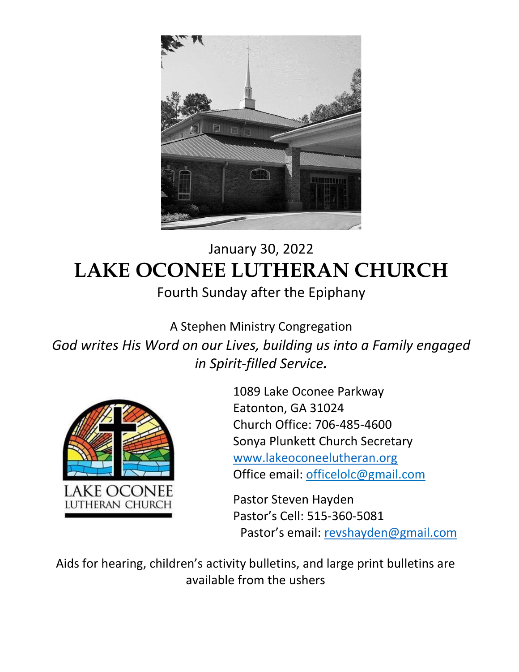

# January 30, 2022 **LAKE OCONEE LUTHERAN CHURCH** Fourth Sunday after the Epiphany

A Stephen Ministry Congregation *God writes His Word on our Lives, building us into a Family engaged in Spirit-filled Service.*



1089 Lake Oconee Parkway Eatonton, GA 31024 Church Office: 706-485-4600 Sonya Plunkett Church Secretary [www.lakeoconeelutheran.org](http://www.lakeoconeelutheran.org/) Office email: officelolc@gmail.com

Pastor Steven Hayden Pastor's Cell: 515-360-5081 Pastor's email: [revshayden@gmail.com](mailto:revshayden@gmail.com)

Aids for hearing, children's activity bulletins, and large print bulletins are available from the ushers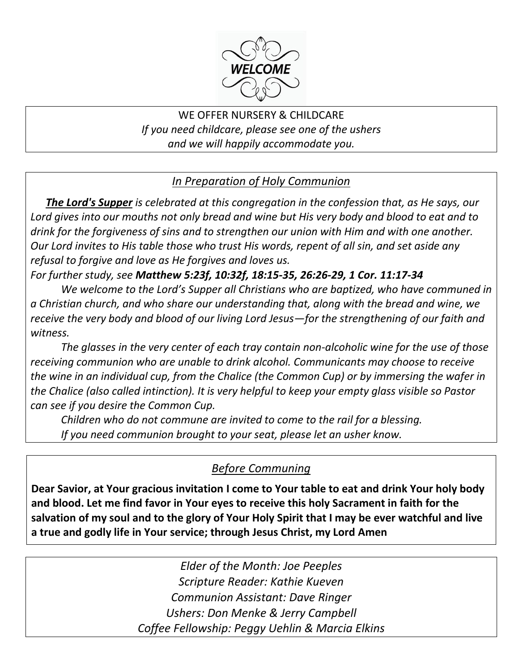

WE OFFER NURSERY & CHILDCARE *If you need childcare, please see one of the ushers and we will happily accommodate you.*

#### *In Preparation of Holy Communion*

*The Lord's Supper is celebrated at this congregation in the confession that, as He says, our Lord gives into our mouths not only bread and wine but His very body and blood to eat and to drink for the forgiveness of sins and to strengthen our union with Him and with one another. Our Lord invites to His table those who trust His words, repent of all sin, and set aside any refusal to forgive and love as He forgives and loves us.* 

*For further study, see Matthew 5:23f, 10:32f, 18:15-35, 26:26-29, 1 Cor. 11:17-34*

*We welcome to the Lord's Supper all Christians who are baptized, who have communed in a Christian church, and who share our understanding that, along with the bread and wine, we receive the very body and blood of our living Lord Jesus—for the strengthening of our faith and witness.*

*The glasses in the very center of each tray contain non-alcoholic wine for the use of those receiving communion who are unable to drink alcohol. Communicants may choose to receive the wine in an individual cup, from the Chalice (the Common Cup) or by immersing the wafer in the Chalice (also called intinction). It is very helpful to keep your empty glass visible so Pastor can see if you desire the Common Cup.*

*Children who do not commune are invited to come to the rail for a blessing. If you need communion brought to your seat, please let an usher know.*

#### *Before Communing*

**Dear Savior, at Your gracious invitation I come to Your table to eat and drink Your holy body and blood. Let me find favor in Your eyes to receive this holy Sacrament in faith for the salvation of my soul and to the glory of Your Holy Spirit that I may be ever watchful and live a true and godly life in Your service; through Jesus Christ, my Lord Amen**

> *Elder of the Month: Joe Peeples Scripture Reader: Kathie Kueven Communion Assistant: Dave Ringer Ushers: Don Menke & Jerry Campbell Coffee Fellowship: Peggy Uehlin & Marcia Elkins*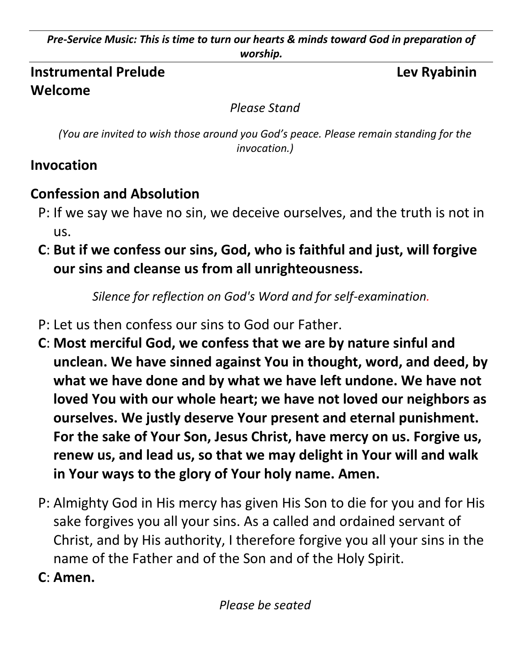*Pre-Service Music: This is time to turn our hearts & minds toward God in preparation of worship.*

#### **Instrumental Prelude Lev Ryabinin Welcome**

*Please Stand*

*(You are invited to wish those around you God's peace. Please remain standing for the invocation.)*

## **Invocation**

# **Confession and Absolution**

- P: If we say we have no sin, we deceive ourselves, and the truth is not in us.
- **C**: **But if we confess our sins, God, who is faithful and just, will forgive our sins and cleanse us from all unrighteousness.**

*Silence for reflection on God's Word and for self-examination.*

- P: Let us then confess our sins to God our Father.
- **C**: **Most merciful God, we confess that we are by nature sinful and unclean. We have sinned against You in thought, word, and deed, by what we have done and by what we have left undone. We have not loved You with our whole heart; we have not loved our neighbors as ourselves. We justly deserve Your present and eternal punishment. For the sake of Your Son, Jesus Christ, have mercy on us. Forgive us, renew us, and lead us, so that we may delight in Your will and walk in Your ways to the glory of Your holy name. Amen.**
- P: Almighty God in His mercy has given His Son to die for you and for His sake forgives you all your sins. As a called and ordained servant of Christ, and by His authority, I therefore forgive you all your sins in the name of the Father and of the Son and of the Holy Spirit.
- **C**: **Amen.**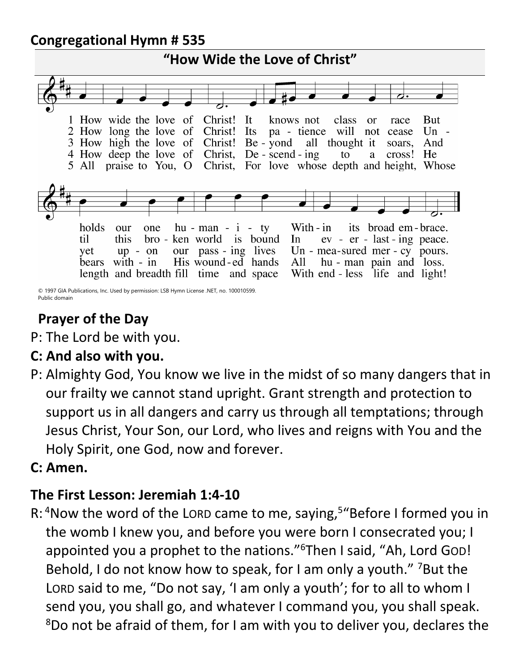#### **Congregational Hymn # 535**



© 1997 GIA Publications, Inc. Used by permission: LSB Hymn License .NET, no. 100010599. Public domain

# **Prayer of the Day**

P: The Lord be with you.

#### **C: And also with you.**

P: Almighty God, You know we live in the midst of so many dangers that in our frailty we cannot stand upright. Grant strength and protection to support us in all dangers and carry us through all temptations; through Jesus Christ, Your Son, our Lord, who lives and reigns with You and the Holy Spirit, one God, now and forever.

#### **C: Amen.**

#### **The First Lesson: Jeremiah 1:4-10**

R: <sup>4</sup>Now the word of the Lord came to me, saying,<sup>5</sup> "Before I formed you in the womb I knew you, and before you were born I consecrated you; I appointed you a prophet to the nations."<sup>6</sup>Then I said, "Ah, Lord GOD! Behold, I do not know how to speak, for I am only a youth." <sup>7</sup>But the LORD said to me, "Do not say, 'I am only a youth'; for to all to whom I send you, you shall go, and whatever I command you, you shall speak. <sup>8</sup>Do not be afraid of them, for I am with you to deliver you, declares the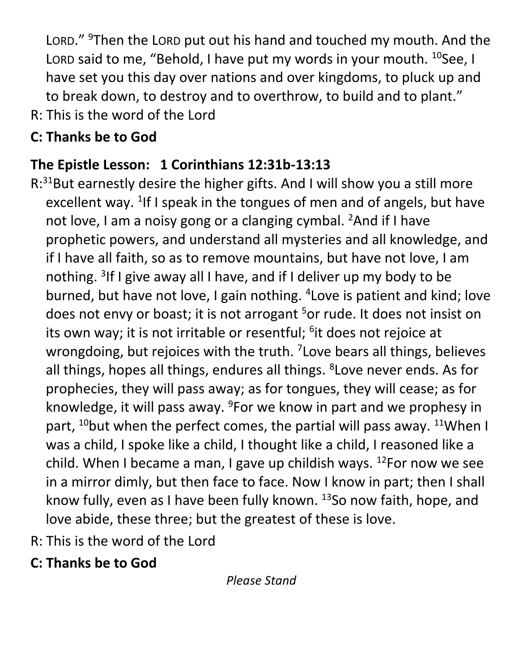LORD." <sup>9</sup>Then the LORD put out his hand and touched my mouth. And the LORD said to me, "Behold, I have put my words in your mouth.  $^{10}$ See, I have set you this day over nations and over kingdoms, to pluck up and to break down, to destroy and to overthrow, to build and to plant."

R: This is the word of the Lord

# **C: Thanks be to God**

# **The Epistle Lesson: 1 Corinthians 12:31b-13:13**

- $R:31$ But earnestly desire the higher gifts. And I will show you a still more excellent way. <sup>1</sup>If I speak in the tongues of men and of angels, but have not love, I am a noisy gong or a clanging cymbal. <sup>2</sup>And if I have prophetic powers, and understand all mysteries and all knowledge, and if I have all faith, so as to remove mountains, but have not love, I am nothing. <sup>3</sup>If I give away all I have, and if I deliver up my body to be burned, but have not love, I gain nothing. <sup>4</sup> Love is patient and kind; love does not envy or boast; it is not arrogant <sup>5</sup>or rude. It does not insist on its own way; it is not irritable or resentful; <sup>6</sup>it does not rejoice at wrongdoing, but rejoices with the truth. <sup>7</sup> Love bears all things, believes all things, hopes all things, endures all things. <sup>8</sup> Love never ends. As for prophecies, they will pass away; as for tongues, they will cease; as for knowledge, it will pass away.  $9$ For we know in part and we prophesy in part,  $^{10}$ but when the perfect comes, the partial will pass away.  $^{11}$ When I was a child, I spoke like a child, I thought like a child, I reasoned like a child. When I became a man, I gave up childish ways.  $^{12}$ For now we see in a mirror dimly, but then face to face. Now I know in part; then I shall know fully, even as I have been fully known.  $13$ So now faith, hope, and love abide, these three; but the greatest of these is love.
- R: This is the word of the Lord
- **C: Thanks be to God**

*Please Stand*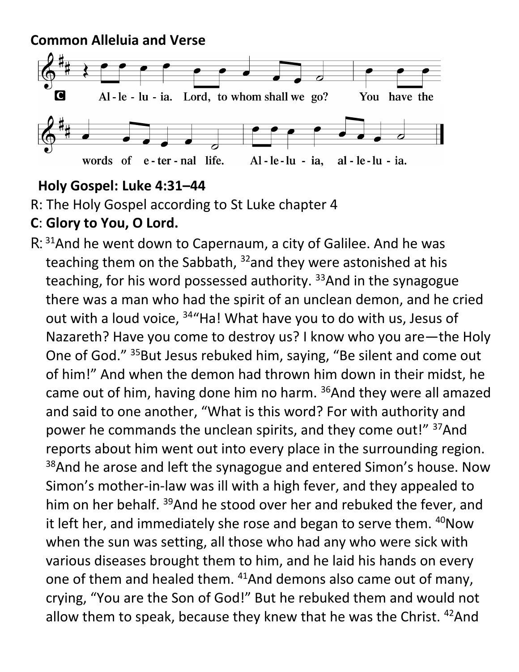#### **Common Alleluia and Verse**



#### **Holy Gospel: Luke 4:31–44**

R: The Holy Gospel according to St Luke chapter 4

#### **C**: **Glory to You, O Lord.**

R: <sup>31</sup> And he went down to Capernaum, a city of Galilee. And he was teaching them on the Sabbath, <sup>32</sup>and they were astonished at his teaching, for his word possessed authority. <sup>33</sup>And in the synagogue there was a man who had the spirit of an unclean demon, and he cried out with a loud voice, <sup>34</sup> Ha! What have you to do with us, Jesus of Nazareth? Have you come to destroy us? I know who you are—the Holy One of God." <sup>35</sup>But Jesus rebuked him, saying, "Be silent and come out of him!" And when the demon had thrown him down in their midst, he came out of him, having done him no harm.  $36$ And they were all amazed and said to one another, "What is this word? For with authority and power he commands the unclean spirits, and they come out!" <sup>37</sup>And reports about him went out into every place in the surrounding region. <sup>38</sup>And he arose and left the synagogue and entered Simon's house. Now Simon's mother-in-law was ill with a high fever, and they appealed to him on her behalf. <sup>39</sup>And he stood over her and rebuked the fever, and it left her, and immediately she rose and began to serve them. <sup>40</sup>Now when the sun was setting, all those who had any who were sick with various diseases brought them to him, and he laid his hands on every one of them and healed them. <sup>41</sup>And demons also came out of many, crying, "You are the Son of God!" But he rebuked them and would not allow them to speak, because they knew that he was the Christ. <sup>42</sup>And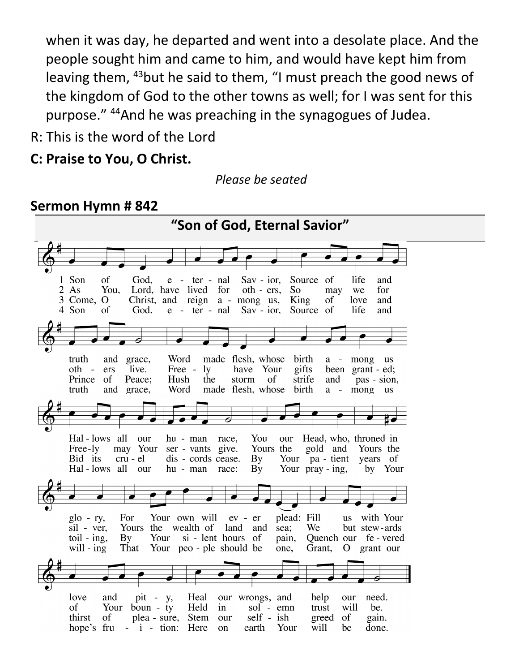when it was day, he departed and went into a desolate place. And the people sought him and came to him, and would have kept him from leaving them, <sup>43</sup>but he said to them, "I must preach the good news of the kingdom of God to the other towns as well; for I was sent for this purpose." <sup>44</sup>And he was preaching in the synagogues of Judea.

R: This is the word of the Lord

#### **C: Praise to You, O Christ.**

*Please be seated*

#### **Sermon Hymn # 842**

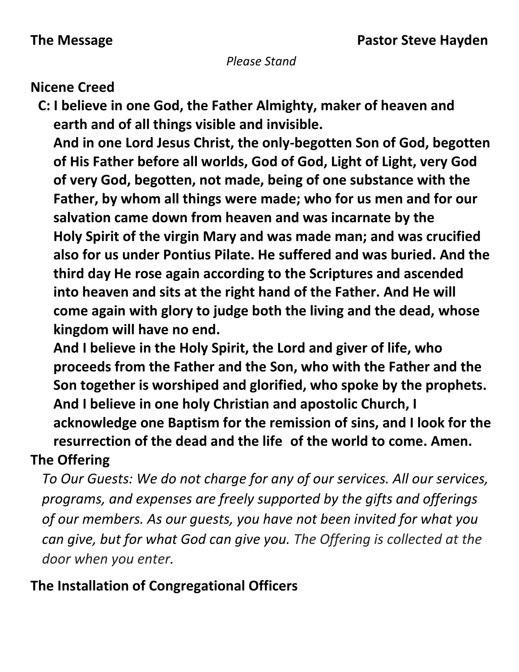#### *Please Stand*

#### **Nicene Creed**

**C: I believe in one God, the Father Almighty, maker of heaven and earth and of all things visible and invisible.** 

**And in one Lord Jesus Christ, the only-begotten Son of God, begotten of His Father before all worlds, God of God, Light of Light, very God of very God, begotten, not made, being of one substance with the Father, by whom all things were made; who for us men and for our salvation came down from heaven and was incarnate by the Holy Spirit of the virgin Mary and was made man; and was crucified also for us under Pontius Pilate. He suffered and was buried. And the third day He rose again according to the Scriptures and ascended into heaven and sits at the right hand of the Father. And He will come again with glory to judge both the living and the dead, whose kingdom will have no end.**

**And I believe in the Holy Spirit, the Lord and giver of life, who proceeds from the Father and the Son, who with the Father and the Son together is worshiped and glorified, who spoke by the prophets. And I believe in one holy Christian and apostolic Church, I acknowledge one Baptism for the remission of sins, and I look for the resurrection of the dead and the life of the world to come. Amen.**

#### **The Offering**

*To Our Guests: We do not charge for any of our services. All our services, programs, and expenses are freely supported by the gifts and offerings of our members. As our guests, you have not been invited for what you can give, but for what God can give you. The Offering is collected at the door when you enter.*

#### **The Installation of Congregational Officers**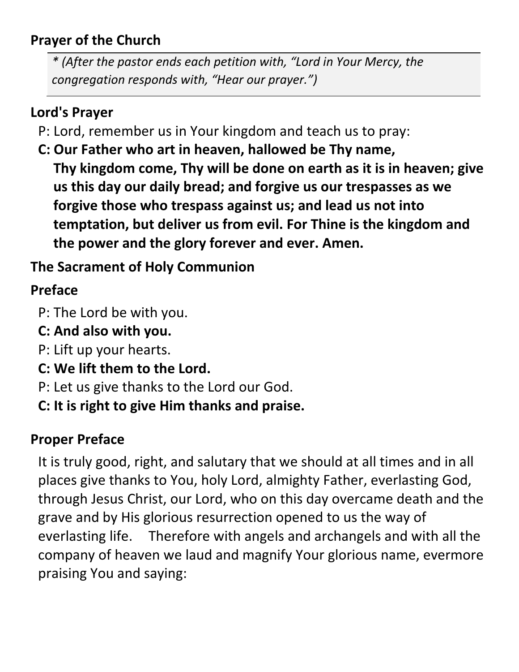## **Prayer of the Church**

*\* (After the pastor ends each petition with, "Lord in Your Mercy, the congregation responds with, "Hear our prayer.")*

#### **Lord's Prayer**

- P: Lord, remember us in Your kingdom and teach us to pray:
- **C: Our Father who art in heaven, hallowed be Thy name, Thy kingdom come, Thy will be done on earth as it is in heaven; give us this day our daily bread; and forgive us our trespasses as we forgive those who trespass against us; and lead us not into temptation, but deliver us from evil. For Thine is the kingdom and the power and the glory forever and ever. Amen.**

# **The Sacrament of Holy Communion**

## **Preface**

- P: The Lord be with you.
- **C: And also with you.**
- P: Lift up your hearts.
- **C: We lift them to the Lord.**
- P: Let us give thanks to the Lord our God.
- **C: It is right to give Him thanks and praise.**

#### **Proper Preface**

It is truly good, right, and salutary that we should at all times and in all places give thanks to You, holy Lord, almighty Father, everlasting God, through Jesus Christ, our Lord, who on this day overcame death and the grave and by His glorious resurrection opened to us the way of everlasting life. Therefore with angels and archangels and with all the company of heaven we laud and magnify Your glorious name, evermore praising You and saying: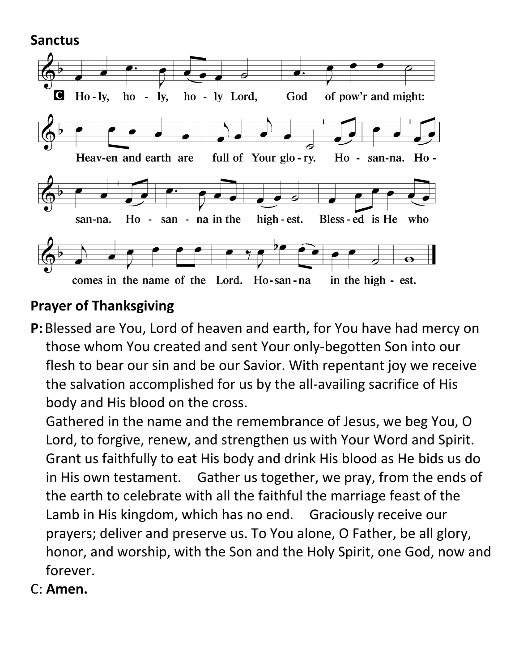**Sanctus**



#### **Prayer of Thanksgiving**

**P:** Blessed are You, Lord of heaven and earth, for You have had mercy on those whom You created and sent Your only-begotten Son into our flesh to bear our sin and be our Savior. With repentant joy we receive the salvation accomplished for us by the all-availing sacrifice of His body and His blood on the cross.

Gathered in the name and the remembrance of Jesus, we beg You, O Lord, to forgive, renew, and strengthen us with Your Word and Spirit. Grant us faithfully to eat His body and drink His blood as He bids us do in His own testament. Gather us together, we pray, from the ends of the earth to celebrate with all the faithful the marriage feast of the Lamb in His kingdom, which has no end. Graciously receive our prayers; deliver and preserve us. To You alone, O Father, be all glory, honor, and worship, with the Son and the Holy Spirit, one God, now and forever.

C: **Amen.**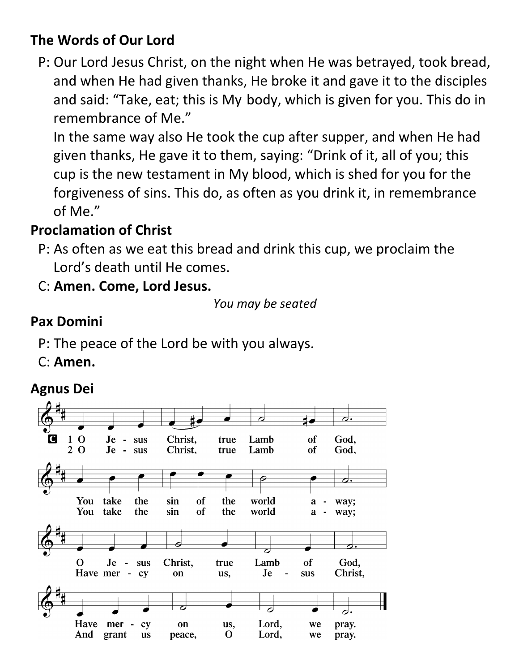### **The Words of Our Lord**

P: Our Lord Jesus Christ, on the night when He was betrayed, took bread, and when He had given thanks, He broke it and gave it to the disciples and said: "Take, eat; this is My body, which is given for you. This do in remembrance of Me."

In the same way also He took the cup after supper, and when He had given thanks, He gave it to them, saying: "Drink of it, all of you; this cup is the new testament in My blood, which is shed for you for the forgiveness of sins. This do, as often as you drink it, in remembrance of Me."

## **Proclamation of Christ**

P: As often as we eat this bread and drink this cup, we proclaim the Lord's death until He comes.

C: **Amen. Come, Lord Jesus.**

```
You may be seated
```
## **Pax Domini**

- P: The peace of the Lord be with you always.
- C: **Amen.**

# **Agnus Dei**

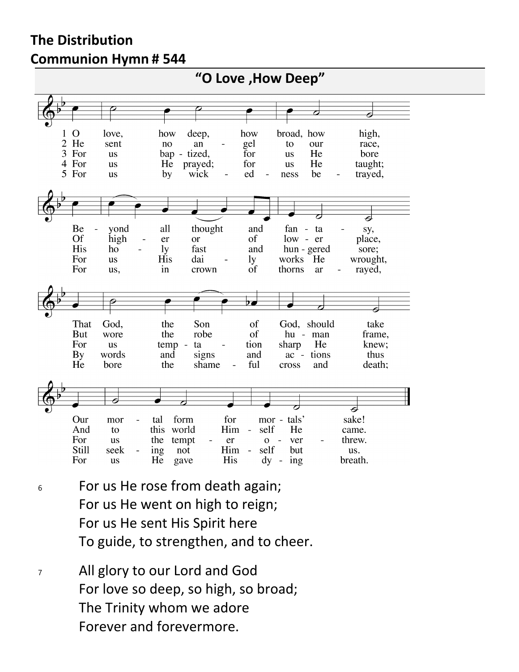#### **The Distribution Communion Hymn # 544**



- <sup>6</sup> For us He rose from death again; For us He went on high to reign; For us He sent His Spirit here To guide, to strengthen, and to cheer.
- <sup>7</sup> All glory to our Lord and God For love so deep, so high, so broad; The Trinity whom we adore Forever and forevermore.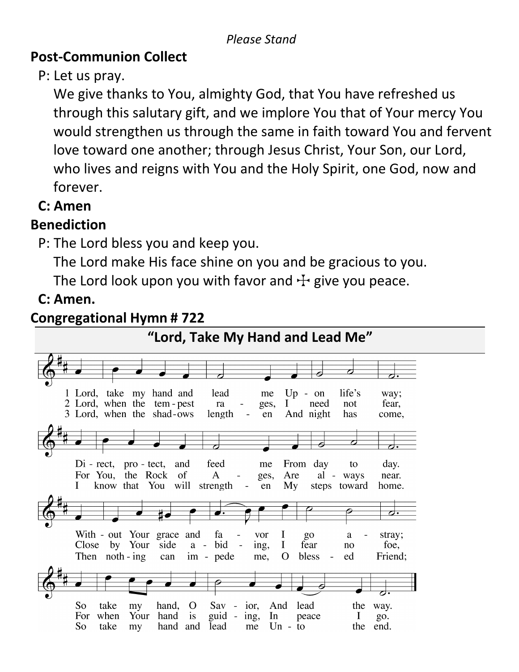#### **Post-Communion Collect**

P: Let us pray.

We give thanks to You, almighty God, that You have refreshed us through this salutary gift, and we implore You that of Your mercy You would strengthen us through the same in faith toward You and fervent love toward one another; through Jesus Christ, Your Son, our Lord, who lives and reigns with You and the Holy Spirit, one God, now and forever.

#### **C: Amen**

## **Benediction**

P: The Lord bless you and keep you.

The Lord make His face shine on you and be gracious to you.

The Lord look upon you with favor and  $\pm$  give you peace.

# **C: Amen.**

#### **Congregational Hymn # 722**

**"Lord, Take My Hand and Lead Me"**1 Lord, take my hand and lead  $Up - on$ life's me way; 2 Lord, when the tem-pest  $\bf{I}$ need not fear, ra ges, 3 Lord, when the shad-ows length en And night has come,  $Di - rect$ , pro - tect, and feed me From day day. to For You, the Rock of  $\mathbf{A}$ Are al - ways near. ges, know that You will strength I  $\Box$ en My steps toward home.  $\overline{\bm{c}}$ With - out Your grace and fa I  $g_{0}$ stray;  $\overline{a}$ vor a Close by Your side  $a - bid$  $\overline{\phantom{a}}$ ing,  $\bf{I}$ fear no foe, Then noth - ing im - pede me,  $\overline{O}$ bless ed Friend: can Sav - ior, lead So take my hand,  $\overline{O}$ And the way. For when Your hand is guid - ing, In peace  $\bf{I}$ go. So take my hand and lead  $Un$ the end. me to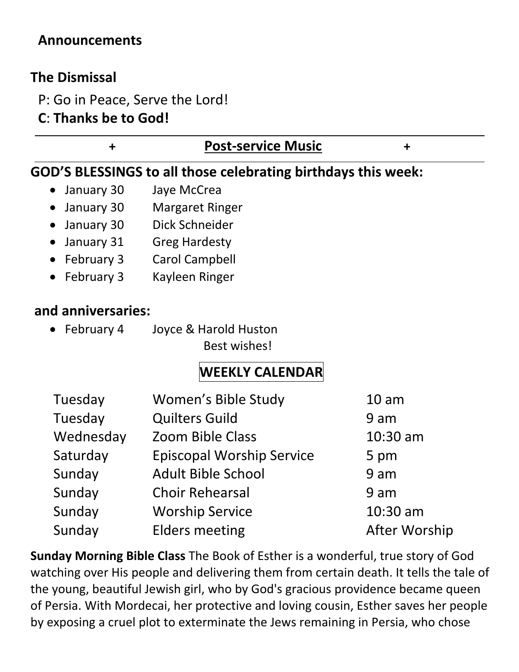#### **Announcements**

#### **The Dismissal**

- P: Go in Peace, Serve the Lord!
- **C**: **Thanks be to God!**

| $\ddagger$              | <b>Post-service Music</b>                                                                                                                                                | $\ddagger$       |
|-------------------------|--------------------------------------------------------------------------------------------------------------------------------------------------------------------------|------------------|
|                         | GOD'S BLESSINGS to all those celebrating birthdays this week:                                                                                                            |                  |
| January 30<br>$\bullet$ | Jaye McCrea                                                                                                                                                              |                  |
| January 30              | <b>Margaret Ringer</b>                                                                                                                                                   |                  |
| January 30              | Dick Schneider                                                                                                                                                           |                  |
| January 31              | <b>Greg Hardesty</b>                                                                                                                                                     |                  |
| February 3              | Carol Campbell                                                                                                                                                           |                  |
| February 3              | Kayleen Ringer                                                                                                                                                           |                  |
| and anniversaries:      |                                                                                                                                                                          |                  |
| • February 4            | Joyce & Harold Huston<br>Best wishes!                                                                                                                                    |                  |
|                         | <b>WEEKLY CALENDAR</b>                                                                                                                                                   |                  |
| Tuesday                 | Women's Bible Study                                                                                                                                                      | 10 <sub>am</sub> |
| Tuesday                 | <b>Quilters Guild</b>                                                                                                                                                    | 9 am             |
| Wednesday               | <b>Zoom Bible Class</b>                                                                                                                                                  | $10:30$ am       |
| Saturday                | <b>Episcopal Worship Service</b>                                                                                                                                         | 5 pm             |
| Sunday                  | <b>Adult Bible School</b>                                                                                                                                                | 9 am             |
| Sunday                  | <b>Choir Rehearsal</b>                                                                                                                                                   | 9 am             |
| Sunday                  | <b>Worship Service</b>                                                                                                                                                   | 10:30 am         |
| Sunday                  | Elders meeting                                                                                                                                                           | After Worship    |
|                         | Sunday Morning Bible Class The Book of Esther is a wonderful, true story of God<br>watching over His people and delivering them from certain death. It tells the tale of |                  |

the young, beautiful Jewish girl, who by God's gracious providence became queen of Persia. With Mordecai, her protective and loving cousin, Esther saves her people by exposing a cruel plot to exterminate the Jews remaining in Persia, who chose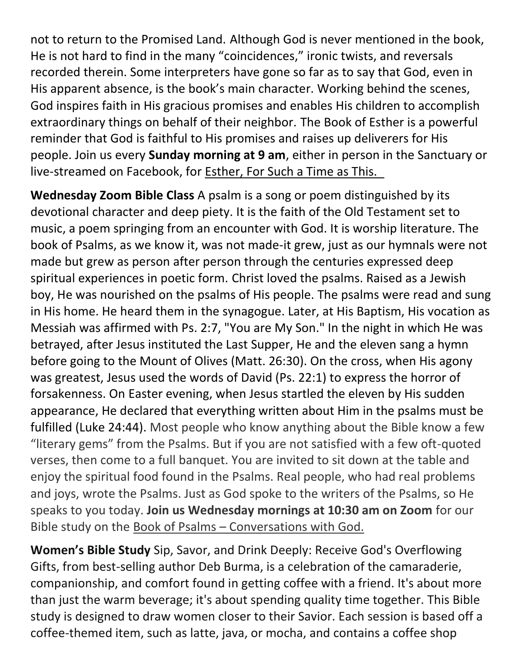not to return to the Promised Land. Although God is never mentioned in the book, He is not hard to find in the many "coincidences," ironic twists, and reversals recorded therein. Some interpreters have gone so far as to say that God, even in His apparent absence, is the book's main character. Working behind the scenes, God inspires faith in His gracious promises and enables His children to accomplish extraordinary things on behalf of their neighbor. The Book of Esther is a powerful reminder that God is faithful to His promises and raises up deliverers for His people. Join us every **Sunday morning at 9 am**, either in person in the Sanctuary or live-streamed on Facebook, for Esther, For Such a Time as This.

**Wednesday Zoom Bible Class** A psalm is a song or poem distinguished by its devotional character and deep piety. It is the faith of the Old Testament set to music, a poem springing from an encounter with God. It is worship literature. The book of Psalms, as we know it, was not made-it grew, just as our hymnals were not made but grew as person after person through the centuries expressed deep spiritual experiences in poetic form. Christ loved the psalms. Raised as a Jewish boy, He was nourished on the psalms of His people. The psalms were read and sung in His home. He heard them in the synagogue. Later, at His Baptism, His vocation as Messiah was affirmed with Ps. 2:7, "You are My Son." In the night in which He was betrayed, after Jesus instituted the Last Supper, He and the eleven sang a hymn before going to the Mount of Olives (Matt. 26:30). On the cross, when His agony was greatest, Jesus used the words of David (Ps. 22:1) to express the horror of forsakenness. On Easter evening, when Jesus startled the eleven by His sudden appearance, He declared that everything written about Him in the psalms must be fulfilled (Luke 24:44). Most people who know anything about the Bible know a few "literary gems" from the Psalms. But if you are not satisfied with a few oft-quoted verses, then come to a full banquet. You are invited to sit down at the table and enjoy the spiritual food found in the Psalms. Real people, who had real problems and joys, wrote the Psalms. Just as God spoke to the writers of the Psalms, so He speaks to you today. **Join us Wednesday mornings at 10:30 am on Zoom** for our Bible study on the Book of Psalms – Conversations with God.

**Women's Bible Study** Sip, Savor, and Drink Deeply: Receive God's Overflowing Gifts, from best-selling author Deb Burma, is a celebration of the camaraderie, companionship, and comfort found in getting coffee with a friend. It's about more than just the warm beverage; it's about spending quality time together. This Bible study is designed to draw women closer to their Savior. Each session is based off a coffee-themed item, such as latte, java, or mocha, and contains a coffee shop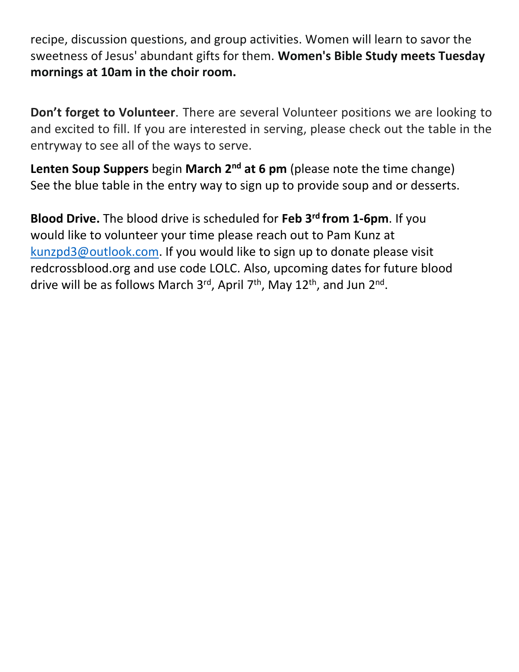recipe, discussion questions, and group activities. Women will learn to savor the sweetness of Jesus' abundant gifts for them. **Women's Bible Study meets Tuesday mornings at 10am in the choir room.**

**Don't forget to Volunteer**. There are several Volunteer positions we are looking to and excited to fill. If you are interested in serving, please check out the table in the entryway to see all of the ways to serve.

**Lenten Soup Suppers** begin **March 2nd at 6 pm** (please note the time change) See the blue table in the entry way to sign up to provide soup and or desserts.

**Blood Drive.** The blood drive is scheduled for **Feb 3rd from 1-6pm**. If you would like to volunteer your time please reach out to Pam Kunz at [kunzpd3@outlook.com.](mailto:kunzpd3@outlook.com) If you would like to sign up to donate please visit redcrossblood.org and use code LOLC. Also, upcoming dates for future blood drive will be as follows March 3<sup>rd</sup>, April 7<sup>th</sup>, May 12<sup>th</sup>, and Jun 2<sup>nd</sup>.